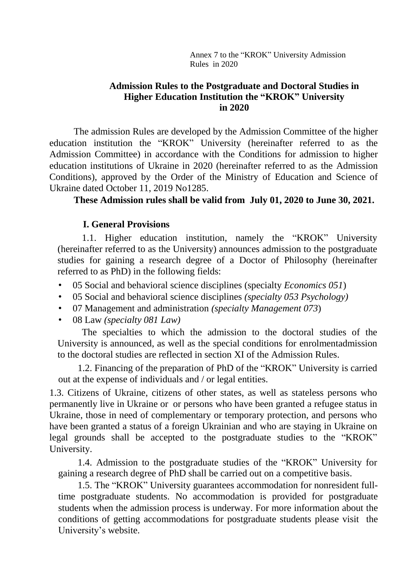Annex 7 to the "KROK" University Admission Rules in 2020

#### **Admission Rules to the Postgraduate and Doctoral Studies in Higher Education Institution the "KROK" University in 2020**

The admission Rules are developed by the Admission Committee of the higher education institution the "KROK" University (hereinafter referred to as the Admission Committee) in accordance with the Conditions for admission to higher education institutions of Ukraine in 2020 (hereinafter referred to as the Admission Conditions), approved by the Order of the Ministry of Education and Science of Ukraine dated October 11, 2019 No1285.

#### **These Admission rules shall be valid from July 01, 2020 to June 30, 2021.**

#### **I. General Provisions**

1.1. Higher education institution, namely the "KROK" University (hereinafter referred to as the University) announces admission to the postgraduate studies for gaining a research degree of a Doctor of Philosophy (hereinafter referred to as PhD) in the following fields:

- 05 Social and behavioral science disciplines (specialty *Economics 051*)
- 05 Social and behavioral science disciplines *(specialty 053 Psychology)*
- 07 Management and administration *(specialty Management 073*)
- 08 Law *(specialty 081 Law)*

The specialties to which the admission to the doctoral studies of the University is announced, as well as the special conditions for enrolmentadmission to the doctoral studies are reflected in section XI of the Admission Rules.

1.2. Financing of the preparation of PhD of the "KROK" University is carried out at the expense of individuals and / or legal entities.

1.3. Citizens of Ukraine, citizens of other states, as well as stateless persons who permanently live in Ukraine or or persons who have been granted a refugee status in Ukraine, those in need of complementary or temporary protection, and persons who have been granted a status of a foreign Ukrainian and who are staying in Ukraine on legal grounds shall be accepted to the postgraduate studies to the "KROK" University.

1.4. Admission to the postgraduate studies of the "KROK" University for gaining a research degree of PhD shall be carried out on a competitive basis.

1.5. The "KROK" University guarantees accommodation for nonresident fulltime postgraduate students. No accommodation is provided for postgraduate students when the admission process is underway. For more information about the conditions of getting accommodations for postgraduate students please visit the University's website.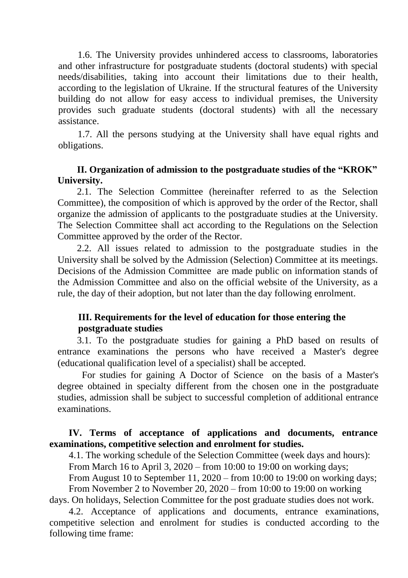1.6. The University provides unhindered access to classrooms, laboratories and other infrastructure for postgraduate students (doctoral students) with special needs/disabilities, taking into account their limitations due to their health, according to the legislation of Ukraine. If the structural features of the University building do not allow for easy access to individual premises, the University provides such graduate students (doctoral students) with all the necessary assistance.

1.7. All the persons studying at the University shall have equal rights and obligations.

#### **II. Organization of admission to the postgraduate studies of the "KROK" University.**

2.1. The Selection Committee (hereinafter referred to as the Selection Committee), the composition of which is approved by the order of the Rector, shall organize the admission of applicants to the postgraduate studies at the University. The Selection Committee shall act according to the Regulations on the Selection Committee approved by the order of the Rector.

2.2. All issues related to admission to the postgraduate studies in the University shall be solved by the Admission (Selection) Committee at its meetings. Decisions of the Admission Committee are made public on information stands of the Admission Committee and also on the official website of the University, as a rule, the day of their adoption, but not later than the day following enrolment.

## **III. Requirements for the level of education for those entering the postgraduate studies**

3.1. To the postgraduate studies for gaining a PhD based on results of entrance examinations the persons who have received a Master's degree (educational qualification level of a specialist) shall be accepted.

For studies for gaining A Doctor of Science on the basis of a Master's degree obtained in specialty different from the chosen one in the postgraduate studies, admission shall be subject to successful completion of additional entrance examinations.

## **IV. Terms of acceptance of applications and documents, entrance examinations, competitive selection and enrolment for studies.**

4.1. The working schedule of the Selection Committee (week days and hours): From March 16 to April 3, 2020 – from 10:00 to 19:00 on working days;

From August 10 to September 11, 2020 – from 10:00 to 19:00 on working days; From November 2 to November 20, 2020 – from 10:00 to 19:00 on working

days. On holidays, Selection Committee for the post graduate studies does not work.

4.2. Acceptance of applications and documents, entrance examinations, competitive selection and enrolment for studies is conducted according to the following time frame: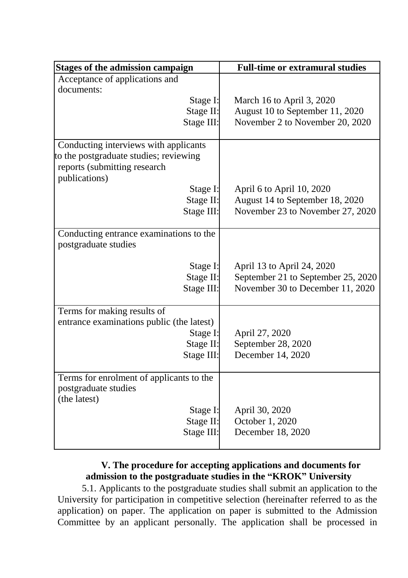| Acceptance of applications and                  |  |
|-------------------------------------------------|--|
|                                                 |  |
| documents:                                      |  |
| Stage I:<br>March 16 to April 3, 2020           |  |
| Stage II:<br>August 10 to September 11, 2020    |  |
| Stage III:<br>November 2 to November 20, 2020   |  |
| Conducting interviews with applicants           |  |
| to the postgraduate studies; reviewing          |  |
| reports (submitting research                    |  |
| publications)                                   |  |
| Stage I:<br>April 6 to April 10, 2020           |  |
| Stage II:<br>August 14 to September 18, 2020    |  |
| Stage III:<br>November 23 to November 27, 2020  |  |
| Conducting entrance examinations to the         |  |
| postgraduate studies                            |  |
| Stage I:<br>April 13 to April 24, 2020          |  |
| Stage II:<br>September 21 to September 25, 2020 |  |
| Stage III:<br>November 30 to December 11, 2020  |  |
|                                                 |  |
| Terms for making results of                     |  |
| entrance examinations public (the latest)       |  |
| Stage I:<br>April 27, 2020                      |  |
| September 28, 2020<br>Stage II:                 |  |
| December 14, 2020<br>Stage III:                 |  |
| Terms for enrolment of applicants to the        |  |
| postgraduate studies                            |  |
| (the latest)                                    |  |
| April 30, 2020<br>Stage I:                      |  |
| October 1, 2020<br>Stage II:                    |  |
| Stage III:<br>December 18, 2020                 |  |

# **V. The procedure for accepting applications and documents for admission to the postgraduate studies in the "KROK" University**

5.1. Applicants to the postgraduate studies shall submit an application to the University for participation in competitive selection (hereinafter referred to as the application) on paper. The application on paper is submitted to the Admission Committee by an applicant personally. The application shall be processed in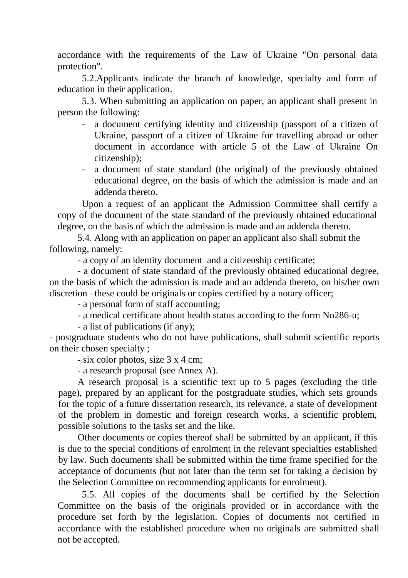accordance with the requirements of the Law of Ukraine "On personal data protection".

5.2.Applicants indicate the branch of knowledge, specialty and form of education in their application.

5.3. When submitting an application on paper, an applicant shall present in person the following:

- a document certifying identity and citizenship (passport of a citizen of Ukraine, passport of a citizen of Ukraine for travelling abroad or other document in accordance with article 5 of the Law of Ukraine On citizenship);
- a document of state standard (the original) of the previously obtained educational degree, on the basis of which the admission is made and an addenda thereto.

Upon a request of an applicant the Admission Committee shall certify a copy of the document of the state standard of the previously obtained educational degree, on the basis of which the admission is made and an addenda thereto.

5.4. Along with an application on paper an applicant also shall submit the following, namely:

- a copy of an identity document and a citizenship certificate;

- a document of state standard of the previously obtained educational degree, on the basis of which the admission is made and an addenda thereto, on his/her own discretion –these could be originals or copies certified by a notary officer;

- a personal form of staff accounting;

- a medical certificate about health status according to the form No286-u;

- a list of publications (if any);

- postgraduate students who do not have publications, shall submit scientific reports on their chosen specialty ;

- six color photos, size 3 x 4 cm;

- a research proposal (see Annex A).

A research proposal is a scientific text up to 5 pages (excluding the title page), prepared by an applicant for the postgraduate studies, which sets grounds for the topic of a future dissertation research, its relevance, a state of development of the problem in domestic and foreign research works, a scientific problem, possible solutions to the tasks set and the like.

Other documents or copies thereof shall be submitted by an applicant, if this is due to the special conditions of enrolment in the relevant specialties established by law. Such documents shall be submitted within the time frame specified for the acceptance of documents (but not later than the term set for taking a decision by the Selection Committee on recommending applicants for enrolment).

5.5. All copies of the documents shall be certified by the Selection Committee on the basis of the originals provided or in accordance with the procedure set forth by the legislation. Copies of documents not certified in accordance with the established procedure when no originals are submitted shall not be accepted.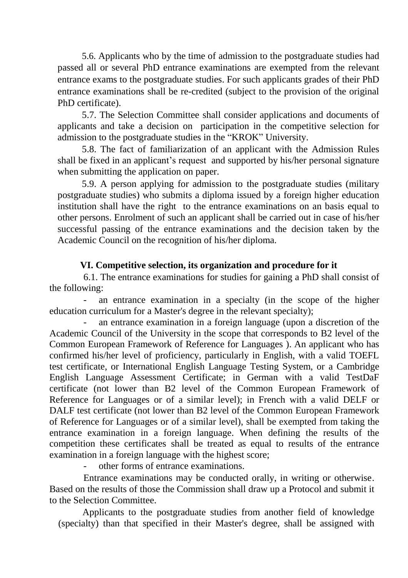5.6. Applicants who by the time of admission to the postgraduate studies had passed all or several PhD entrance examinations are exempted from the relevant entrance exams to the postgraduate studies. For such applicants grades of their PhD entrance examinations shall be re-credited (subject to the provision of the original PhD certificate).

5.7. The Selection Committee shall consider applications and documents of applicants and take a decision on participation in the competitive selection for admission to the postgraduate studies in the "KROK" University.

5.8. The fact of familiarization of an applicant with the Admission Rules shall be fixed in an applicant's request and supported by his/her personal signature when submitting the application on paper.

5.9. A person applying for admission to the postgraduate studies (military postgraduate studies) who submits a diploma issued by a foreign higher education institution shall have the right to the entrance examinations on an basis equal to other persons. Enrolment of such an applicant shall be carried out in case of his/her successful passing of the entrance examinations and the decision taken by the Academic Council on the recognition of his/her diploma.

# **VI. Competitive selection, its organization and procedure for it**

6.1. The entrance examinations for studies for gaining a PhD shall consist of the following:

an entrance examination in a specialty (in the scope of the higher education curriculum for a Master's degree in the relevant specialty);

- an entrance examination in a foreign language (upon a discretion of the Academic Council of the University in the scope that corresponds to B2 level of the Common European Framework of Reference for Languages ). An applicant who has confirmed his/her level of proficiency, particularly in English, with a valid TOEFL test certificate, or International English Language Testing System, or a Cambridge English Language Assessment Certificate; in German with a valid TestDaF certificate (not lower than B2 level of the Common European Framework of Reference for Languages or of a similar level); in French with a valid DELF or DALF test certificate (not lower than B2 level of the Common European Framework of Reference for Languages or of a similar level), shall be exempted from taking the entrance examination in a foreign language. When defining the results of the competition these certificates shall be treated as equal to results of the entrance examination in a foreign language with the highest score;

- other forms of entrance examinations.

Entrance examinations may be conducted orally, in writing or otherwise. Based on the results of those the Commission shall draw up a Protocol and submit it to the Selection Committee.

Applicants to the postgraduate studies from another field of knowledge (specialty) than that specified in their Master's degree, shall be assigned with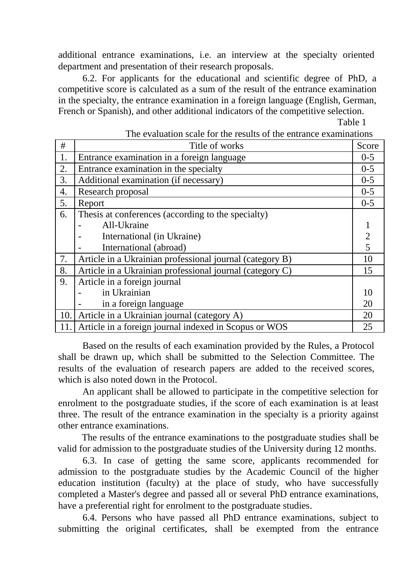additional entrance examinations, i.e. an interview at the specialty oriented department and presentation of their research proposals.

6.2. For applicants for the educational and scientific degree of PhD, a competitive score is calculated as a sum of the result of the entrance examination in the specialty, the entrance examination in a foreign language (English, German, French or Spanish), and other additional indicators of the competitive selection.

Table 1

| #   | Title of works                                           | Score          |  |
|-----|----------------------------------------------------------|----------------|--|
| 1.  | Entrance examination in a foreign language               |                |  |
| 2.  | Entrance examination in the specialty                    | $0 - 5$        |  |
| 3.  | Additional examination (if necessary)                    | $0 - 5$        |  |
| 4.  | Research proposal                                        | $0 - 5$        |  |
| 5.  | Report                                                   | $0 - 5$        |  |
| 6.  | Thesis at conferences (according to the specialty)       |                |  |
|     | All-Ukraine                                              |                |  |
|     | International (in Ukraine)                               | $\overline{c}$ |  |
|     | International (abroad)                                   | 5              |  |
| 7.  | Article in a Ukrainian professional journal (category B) | 10             |  |
| 8.  | Article in a Ukrainian professional journal (category C) | 15             |  |
| 9.  | Article in a foreign journal                             |                |  |
|     | in Ukrainian                                             | 10             |  |
|     | in a foreign language                                    | 20             |  |
| 10. | Article in a Ukrainian journal (category A)              | 20             |  |
| 11. | Article in a foreign journal indexed in Scopus or WOS    | 25             |  |

The evaluation scale for the results of the entrance examinations

Based on the results of each examination provided by the Rules, a Protocol shall be drawn up, which shall be submitted to the Selection Committee. The results of the evaluation of research papers are added to the received scores, which is also noted down in the Protocol.

An applicant shall be allowed to participate in the competitive selection for enrolment to the postgraduate studies, if the score of each examination is at least three. The result of the entrance examination in the specialty is a priority against other entrance examinations.

The results of the entrance examinations to the postgraduate studies shall be valid for admission to the postgraduate studies of the University during 12 months.

6.3. In case of getting the same score, applicants recommended for admission to the postgraduate studies by the Academic Council of the higher education institution (faculty) at the place of study, who have successfully completed a Master's degree and passed all or several PhD entrance examinations, have a preferential right for enrolment to the postgraduate studies.

6.4. Persons who have passed all PhD entrance examinations, subject to submitting the original certificates, shall be exempted from the entrance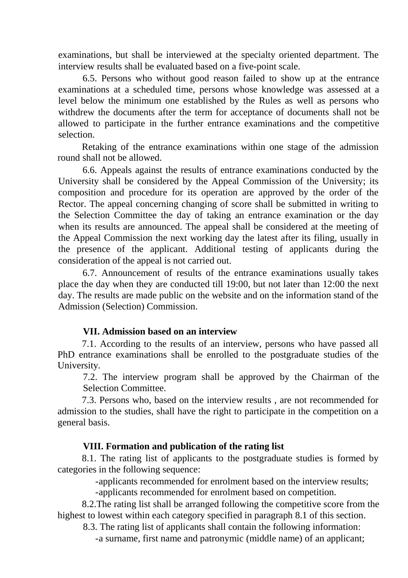examinations, but shall be interviewed at the specialty oriented department. The interview results shall be evaluated based on a five-point scale.

6.5. Persons who without good reason failed to show up at the entrance examinations at a scheduled time, persons whose knowledge was assessed at a level below the minimum one established by the Rules as well as persons who withdrew the documents after the term for acceptance of documents shall not be allowed to participate in the further entrance examinations and the competitive selection.

Retaking of the entrance examinations within one stage of the admission round shall not be allowed.

6.6. Appeals against the results of entrance examinations conducted by the University shall be considered by the Appeal Commission of the University; its composition and procedure for its operation are approved by the order of the Rector. The appeal concerning changing of score shall be submitted in writing to the Selection Committee the day of taking an entrance examination or the day when its results are announced. The appeal shall be considered at the meeting of the Appeal Commission the next working day the latest after its filing, usually in the presence of the applicant. Additional testing of applicants during the consideration of the appeal is not carried out.

6.7. Announcement of results of the entrance examinations usually takes place the day when they are conducted till 19:00, but not later than 12:00 the next day. The results are made public on the website and on the information stand of the Admission (Selection) Commission.

## **VII. Admission based on an interview**

7.1. According to the results of an interview, persons who have passed all PhD entrance examinations shall be enrolled to the postgraduate studies of the University.

7.2. The interview program shall be approved by the Chairman of the Selection Committee.

7.3. Persons who, based on the interview results , are not recommended for admission to the studies, shall have the right to participate in the competition on a general basis.

## **VIII. Formation and publication of the rating list**

8.1. The rating list of applicants to the postgraduate studies is formed by categories in the following sequence:

-applicants recommended for enrolment based on the interview results;

-applicants recommended for enrolment based on competition.

8.2.The rating list shall be arranged following the competitive score from the highest to lowest within each category specified in paragraph 8.1 of this section.

8.3. The rating list of applicants shall contain the following information:

-a surname, first name and patronymic (middle name) of an applicant;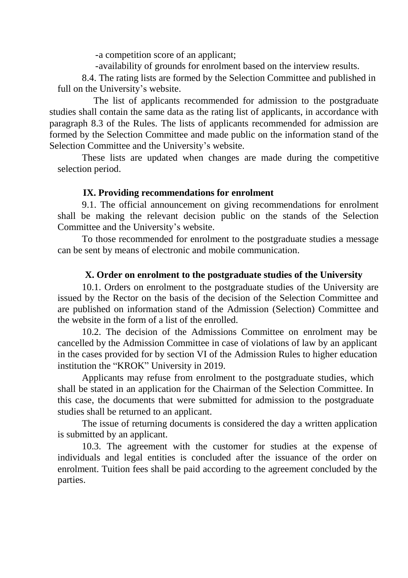-a competition score of an applicant;

-availability of grounds for enrolment based on the interview results.

8.4. The rating lists are formed by the Selection Committee and published in full on the University's website.

The list of applicants recommended for admission to the postgraduate studies shall contain the same data as the rating list of applicants, in accordance with paragraph 8.3 of the Rules. The lists of applicants recommended for admission are formed by the Selection Committee and made public on the information stand of the Selection Committee and the University's website.

These lists are updated when changes are made during the competitive selection period.

#### **IX. Providing recommendations for enrolment**

9.1. The official announcement on giving recommendations for enrolment shall be making the relevant decision public on the stands of the Selection Committee and the University's website.

To those recommended for enrolment to the postgraduate studies a message can be sent by means of electronic and mobile communication.

# **X. Order on enrolment to the postgraduate studies of the University**

10.1. Orders on enrolment to the postgraduate studies of the University are issued by the Rector on the basis of the decision of the Selection Committee and are published on information stand of the Admission (Selection) Committee and the website in the form of a list of the enrolled.

10.2. The decision of the Admissions Committee on enrolment may be cancelled by the Admission Committee in case of violations of law by an applicant in the cases provided for by section VI of the Admission Rules to higher education institution the "KROK" University in 2019.

Applicants may refuse from enrolment to the postgraduate studies, which shall be stated in an application for the Chairman of the Selection Committee. In this case, the documents that were submitted for admission to the postgraduate studies shall be returned to an applicant.

The issue of returning documents is considered the day a written application is submitted by an applicant.

10.3. The agreement with the customer for studies at the expense of individuals and legal entities is concluded after the issuance of the order on enrolment. Tuition fees shall be paid according to the agreement concluded by the parties.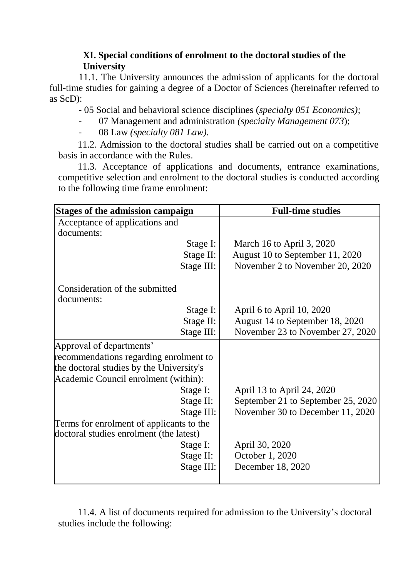# **XI. Special conditions of enrolment to the doctoral studies of the University**

11.1. The University announces the admission of applicants for the doctoral full-time studies for gaining a degree of a Doctor of Sciences (hereinafter referred to as ScD):

- 05 Social and behavioral science disciplines (*specialty 051 Economics);*

- 07 Management and administration *(specialty Management 073*);
- 08 Law *(specialty 081 Law).*

11.2. Admission to the doctoral studies shall be carried out on a competitive basis in accordance with the Rules.

11.3. Acceptance of applications and documents, entrance examinations, competitive selection and enrolment to the doctoral studies is conducted according to the following time frame enrolment:

| <b>Stages of the admission campaign</b>  |            | <b>Full-time studies</b>           |  |  |
|------------------------------------------|------------|------------------------------------|--|--|
| Acceptance of applications and           |            |                                    |  |  |
| documents:                               |            |                                    |  |  |
|                                          | Stage I:   | March 16 to April 3, 2020          |  |  |
|                                          | Stage II:  | August 10 to September 11, 2020    |  |  |
|                                          | Stage III: | November 2 to November 20, 2020    |  |  |
| Consideration of the submitted           |            |                                    |  |  |
| documents:                               |            |                                    |  |  |
|                                          | Stage I:   | April 6 to April 10, 2020          |  |  |
|                                          | Stage II:  | August 14 to September 18, 2020    |  |  |
|                                          | Stage III: | November 23 to November 27, 2020   |  |  |
| Approval of departments'                 |            |                                    |  |  |
| recommendations regarding enrolment to   |            |                                    |  |  |
| the doctoral studies by the University's |            |                                    |  |  |
| Academic Council enrolment (within):     |            |                                    |  |  |
|                                          | Stage I:   | April 13 to April 24, 2020         |  |  |
|                                          | Stage II:  | September 21 to September 25, 2020 |  |  |
|                                          | Stage III: | November 30 to December 11, 2020   |  |  |
| Terms for enrolment of applicants to the |            |                                    |  |  |
| doctoral studies enrolment (the latest)  |            |                                    |  |  |
|                                          | Stage I:   | April 30, 2020                     |  |  |
|                                          | Stage II:  | October 1, 2020                    |  |  |
|                                          | Stage III: | December 18, 2020                  |  |  |
|                                          |            |                                    |  |  |

11.4. A list of documents required for admission to the University's doctoral studies include the following: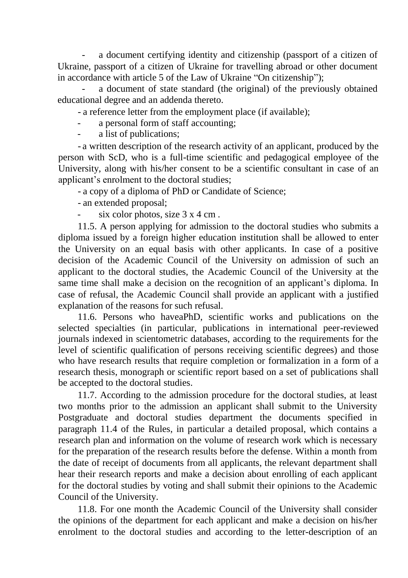a document certifying identity and citizenship (passport of a citizen of Ukraine, passport of a citizen of Ukraine for travelling abroad or other document in accordance with article 5 of the Law of Ukraine "On citizenship");

a document of state standard (the original) of the previously obtained educational degree and an addenda thereto.

- a reference letter from the employment place (if available);

- a personal form of staff accounting;
- a list of publications;

- a written description of the research activity of an applicant, produced by the person with ScD, who is a full-time scientific and pedagogical employee of the University, along with his/her consent to be a scientific consultant in case of an applicant's enrolment to the doctoral studies;

- a copy of a diploma of PhD or Candidate of Science;

- an extended proposal;

six color photos, size  $3 \times 4$  cm.

11.5. A person applying for admission to the doctoral studies who submits a diploma issued by a foreign higher education institution shall be allowed to enter the University on an equal basis with other applicants. In case of a positive decision of the Academic Council of the University on admission of such an applicant to the doctoral studies, the Academic Council of the University at the same time shall make a decision on the recognition of an applicant's diploma. In case of refusal, the Academic Council shall provide an applicant with a justified explanation of the reasons for such refusal.

11.6. Persons who haveaPhD, scientific works and publications on the selected specialties (in particular, publications in international peer-reviewed journals indexed in scientometric databases, according to the requirements for the level of scientific qualification of persons receiving scientific degrees) and those who have research results that require completion or formalization in a form of a research thesis, monograph or scientific report based on a set of publications shall be accepted to the doctoral studies.

11.7. According to the admission procedure for the doctoral studies, at least two months prior to the admission an applicant shall submit to the University Postgraduate and doctoral studies department the documents specified in paragraph 11.4 of the Rules, in particular a detailed proposal, which contains a research plan and information on the volume of research work which is necessary for the preparation of the research results before the defense. Within a month from the date of receipt of documents from all applicants, the relevant department shall hear their research reports and make a decision about enrolling of each applicant for the doctoral studies by voting and shall submit their opinions to the Academic Council of the University.

11.8. For one month the Academic Council of the University shall consider the opinions of the department for each applicant and make a decision on his/her enrolment to the doctoral studies and according to the letter-description of an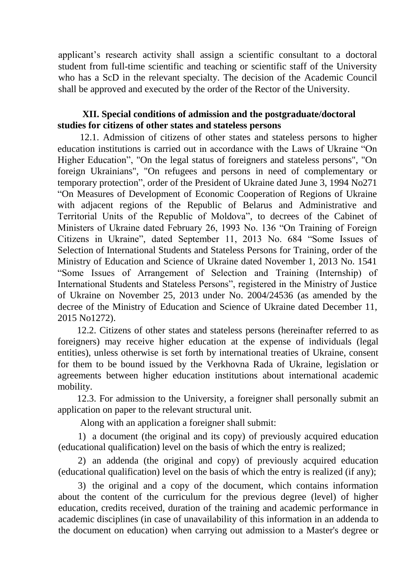applicant's research activity shall assign a scientific consultant to a doctoral student from full-time scientific and teaching or scientific staff of the University who has a ScD in the relevant specialty. The decision of the Academic Council shall be approved and executed by the order of the Rector of the University.

## **XII. Special conditions of admission and the postgraduate/doctoral studies for citizens of other states and stateless persons**

12.1. Admission of citizens of other states and stateless persons to higher education institutions is carried out in accordance with the Laws of Ukraine "On Higher Education", "On the legal status of foreigners and stateless persons", "On foreign Ukrainians", "On refugees and persons in need of complementary or temporary protection", order of the President of Ukraine dated June 3, 1994 No271 "On Measures of Development of Economic Cooperation of Regions of Ukraine with adjacent regions of the Republic of Belarus and Administrative and Territorial Units of the Republic of Moldova", to decrees of the Cabinet of Ministers of Ukraine dated February 26, 1993 No. 136 "On Training of Foreign Citizens in Ukraine", dated September 11, 2013 No. 684 "Some Issues of Selection of International Students and Stateless Persons for Training, order of the Ministry of Education and Science of Ukraine dated November 1, 2013 No. 1541 "Some Issues of Arrangement of Selection and Training (Internship) of International Students and Stateless Persons", registered in the Ministry of Justice of Ukraine on November 25, 2013 under No. 2004/24536 (as amended by the decree of the Ministry of Education and Science of Ukraine dated December 11, 2015 No1272).

12.2. Citizens of other states and stateless persons (hereinafter referred to as foreigners) may receive higher education at the expense of individuals (legal entities), unless otherwise is set forth by international treaties of Ukraine, consent for them to be bound issued by the Verkhovna Rada of Ukraine, legislation or agreements between higher education institutions about international academic mobility.

12.3. For admission to the University, a foreigner shall personally submit an application on paper to the relevant structural unit.

Along with an application a foreigner shall submit:

1) a document (the original and its copy) of previously acquired education (educational qualification) level on the basis of which the entry is realized;

2) an addenda (the original and copy) of previously acquired education (educational qualification) level on the basis of which the entry is realized (if any);

3) the original and a copy of the document, which contains information about the content of the curriculum for the previous degree (level) of higher education, credits received, duration of the training and academic performance in academic disciplines (in case of unavailability of this information in an addenda to the document on education) when carrying out admission to a Master's degree or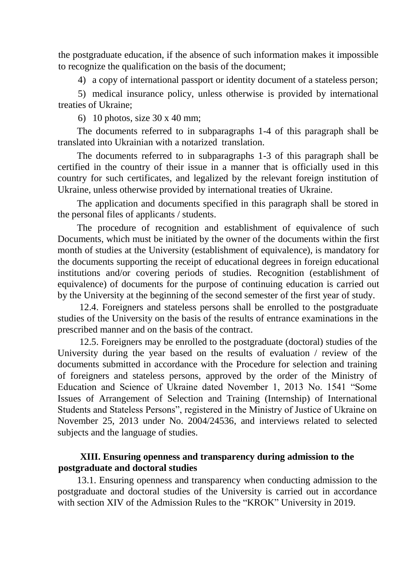the postgraduate education, if the absence of such information makes it impossible to recognize the qualification on the basis of the document;

4) a copy of international passport or identity document of a stateless person;

5) medical insurance policy, unless otherwise is provided by international treaties of Ukraine;

6) 10 photos, size 30 x 40 mm;

The documents referred to in subparagraphs 1-4 of this paragraph shall be translated into Ukrainian with a notarized translation.

The documents referred to in subparagraphs 1-3 of this paragraph shall be certified in the country of their issue in a manner that is officially used in this country for such certificates, and legalized by the relevant foreign institution of Ukraine, unless otherwise provided by international treaties of Ukraine.

The application and documents specified in this paragraph shall be stored in the personal files of applicants / students.

The procedure of recognition and establishment of equivalence of such Documents, which must be initiated by the owner of the documents within the first month of studies at the University (establishment of equivalence), is mandatory for the documents supporting the receipt of educational degrees in foreign educational institutions and/or covering periods of studies. Recognition (establishment of equivalence) of documents for the purpose of continuing education is carried out by the University at the beginning of the second semester of the first year of study.

12.4. Foreigners and stateless persons shall be enrolled to the postgraduate studies of the University on the basis of the results of entrance examinations in the prescribed manner and on the basis of the contract.

12.5. Foreigners may be enrolled to the postgraduate (doctoral) studies of the University during the year based on the results of evaluation / review of the documents submitted in accordance with the Procedure for selection and training of foreigners and stateless persons, approved by the order of the Ministry of Education and Science of Ukraine dated November 1, 2013 No. 1541 "Some Issues of Arrangement of Selection and Training (Internship) of International Students and Stateless Persons", registered in the Ministry of Justice of Ukraine on November 25, 2013 under No. 2004/24536, and interviews related to selected subjects and the language of studies.

# **XIII. Ensuring openness and transparency during admission to the postgraduate and doctoral studies**

13.1. Ensuring openness and transparency when conducting admission to the postgraduate and doctoral studies of the University is carried out in accordance with section XIV of the Admission Rules to the "KROK" University in 2019.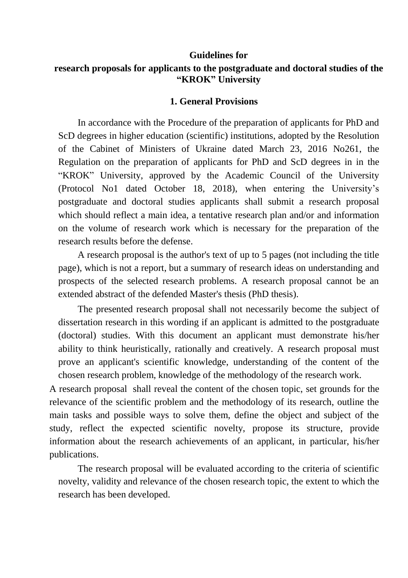#### **Guidelines for**

# **research proposals for applicants to the postgraduate and doctoral studies of the "KROK" University**

#### **1. General Provisions**

In accordance with the Procedure of the preparation of applicants for PhD and ScD degrees in higher education (scientific) institutions, adopted by the Resolution of the Cabinet of Ministers of Ukraine dated March 23, 2016 No261, the Regulation on the preparation of applicants for PhD and ScD degrees in in the "KROK" University, approved by the Academic Council of the University (Protocol No1 dated October 18, 2018), when entering the University's postgraduate and doctoral studies applicants shall submit a research proposal which should reflect a main idea, a tentative research plan and/or and information on the volume of research work which is necessary for the preparation of the research results before the defense.

A research proposal is the author's text of up to 5 pages (not including the title page), which is not a report, but a summary of research ideas on understanding and prospects of the selected research problems. A research proposal cannot be an extended abstract of the defended Master's thesis (PhD thesis).

The presented research proposal shall not necessarily become the subject of dissertation research in this wording if an applicant is admitted to the postgraduate (doctoral) studies. With this document an applicant must demonstrate his/her ability to think heuristically, rationally and creatively. A research proposal must prove an applicant's scientific knowledge, understanding of the content of the chosen research problem, knowledge of the methodology of the research work.

A research proposal shall reveal the content of the chosen topic, set grounds for the relevance of the scientific problem and the methodology of its research, outline the main tasks and possible ways to solve them, define the object and subject of the study, reflect the expected scientific novelty, propose its structure, provide information about the research achievements of an applicant, in particular, his/her publications.

The research proposal will be evaluated according to the criteria of scientific novelty, validity and relevance of the chosen research topic, the extent to which the research has been developed.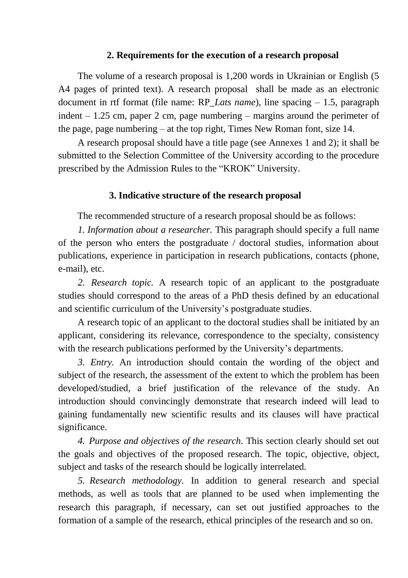#### **2. Requirements for the execution of a research proposal**

The volume of a research proposal is 1,200 words in Ukrainian or English (5 A4 pages of printed text). A research proposal shall be made as an electronic document in rtf format (file name: RP\_*Lats name*), line spacing – 1.5, paragraph indent – 1.25 cm, paper 2 cm, page numbering – margins around the perimeter of the page, page numbering – at the top right, Times New Roman font, size 14.

A research proposal should have a title page (see Annexes 1 and 2); it shall be submitted to the Selection Committee of the University according to the procedure prescribed by the Admission Rules to the "KROK" University.

#### **3. Indicative structure of the research proposal**

The recommended structure of a research proposal should be as follows:

*1. Information about a researcher.* This paragraph should specify a full name of the person who enters the postgraduate / doctoral studies, information about publications, experience in participation in research publications, contacts (phone, e-mail), etc.

*2. Research topic.* A research topic of an applicant to the postgraduate studies should correspond to the areas of a PhD thesis defined by an educational and scientific curriculum of the University's postgraduate studies.

A research topic of an applicant to the doctoral studies shall be initiated by an applicant, considering its relevance, correspondence to the specialty, consistency with the research publications performed by the University's departments.

*3. Entry.* An introduction should contain the wording of the object and subject of the research, the assessment of the extent to which the problem has been developed/studied, a brief justification of the relevance of the study. An introduction should convincingly demonstrate that research indeed will lead to gaining fundamentally new scientific results and its clauses will have practical significance.

*4. Purpose and objectives of the research.* This section clearly should set out the goals and objectives of the proposed research. The topic, objective, object, subject and tasks of the research should be logically interrelated.

*5. Research methodology.* In addition to general research and special methods, as well as tools that are planned to be used when implementing the research this paragraph, if necessary, can set out justified approaches to the formation of a sample of the research, ethical principles of the research and so on.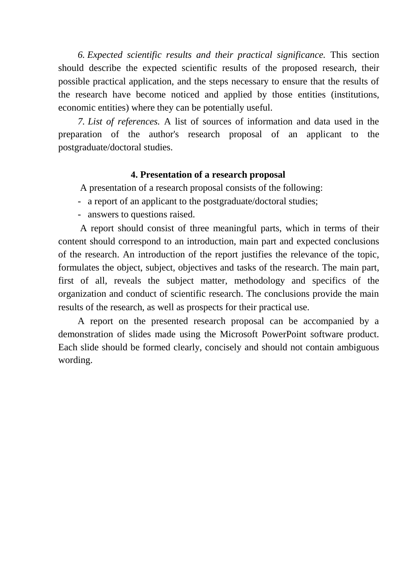*6. Expected scientific results and their practical significance.* This section should describe the expected scientific results of the proposed research, their possible practical application, and the steps necessary to ensure that the results of the research have become noticed and applied by those entities (institutions, economic entities) where they can be potentially useful.

*7. List of references.* A list of sources of information and data used in the preparation of the author's research proposal of an applicant to the postgraduate/doctoral studies.

#### **4. Presentation of a research proposal**

A presentation of a research proposal consists of the following:

- a report of an applicant to the postgraduate/doctoral studies;
- answers to questions raised.

A report should consist of three meaningful parts, which in terms of their content should correspond to an introduction, main part and expected conclusions of the research. An introduction of the report justifies the relevance of the topic, formulates the object, subject, objectives and tasks of the research. The main part, first of all, reveals the subject matter, methodology and specifics of the organization and conduct of scientific research. The conclusions provide the main results of the research, as well as prospects for their practical use.

A report on the presented research proposal can be accompanied by a demonstration of slides made using the Microsoft PowerPoint software product. Each slide should be formed clearly, concisely and should not contain ambiguous wording.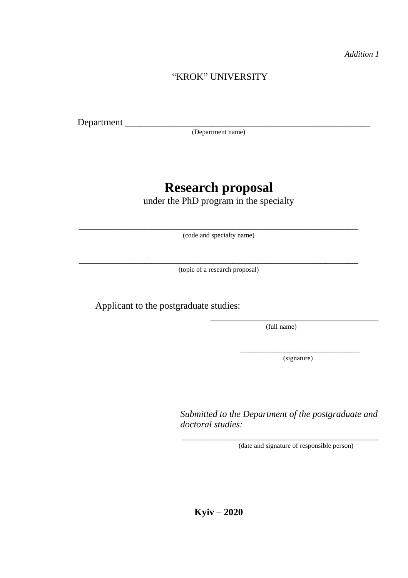*Addition 1*

## "KROK" UNIVERSITY

Department \_

(Department name)

# **Research proposal**

under the PhD program in the specialty

\_\_\_\_\_\_\_\_\_\_\_\_\_\_\_\_\_\_\_\_\_\_\_\_\_\_\_\_\_\_\_\_\_\_\_\_\_\_\_\_\_\_\_\_\_\_\_\_\_\_\_ (code and specialty name)

\_\_\_\_\_\_\_\_\_\_\_\_\_\_\_\_\_\_\_\_\_\_\_\_\_\_\_\_\_\_\_\_\_\_\_\_\_\_\_\_\_\_\_\_\_\_\_\_\_\_\_ (topic of a research proposal)

Applicant to the postgraduate studies:

\_\_\_\_\_\_\_\_\_\_\_\_\_\_\_\_\_\_\_\_\_\_\_\_\_\_\_\_\_\_\_\_\_\_\_ (full name)

> \_\_\_\_\_\_\_\_\_\_\_\_\_\_\_\_\_\_\_\_\_\_\_\_\_ (signature)

*Submitted to the Department of the postgraduate and doctoral studies:*

\_\_\_\_\_\_\_\_\_\_\_\_\_\_\_\_\_\_\_\_\_\_\_\_\_\_\_\_\_\_\_\_\_\_\_\_\_\_\_\_\_

(date and signature of responsible person)

**Kyiv – 2020**